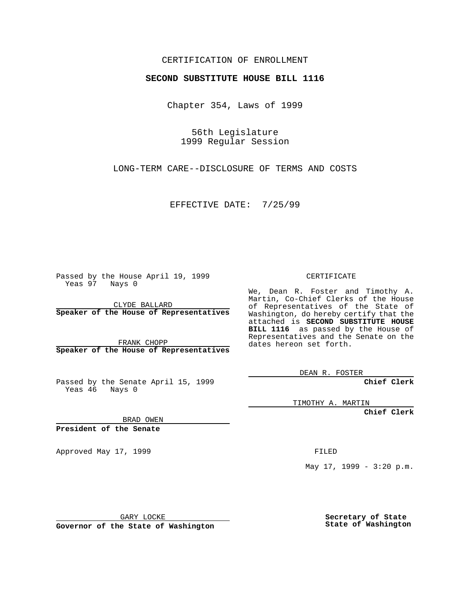## CERTIFICATION OF ENROLLMENT

## **SECOND SUBSTITUTE HOUSE BILL 1116**

Chapter 354, Laws of 1999

56th Legislature 1999 Regular Session

LONG-TERM CARE--DISCLOSURE OF TERMS AND COSTS

EFFECTIVE DATE: 7/25/99

Passed by the House April 19, 1999 Yeas 97 Nays 0

CLYDE BALLARD **Speaker of the House of Representatives**

FRANK CHOPP **Speaker of the House of Representatives**

Passed by the Senate April 15, 1999 Yeas 46 Nays 0

CERTIFICATE

We, Dean R. Foster and Timothy A. Martin, Co-Chief Clerks of the House of Representatives of the State of Washington, do hereby certify that the attached is **SECOND SUBSTITUTE HOUSE BILL 1116** as passed by the House of Representatives and the Senate on the dates hereon set forth.

DEAN R. FOSTER

**Chief Clerk**

TIMOTHY A. MARTIN

**Chief Clerk**

BRAD OWEN

**President of the Senate**

Approved May 17, 1999 **FILED** 

May  $17$ ,  $1999 - 3:20$  p.m.

GARY LOCKE

**Governor of the State of Washington**

**Secretary of State State of Washington**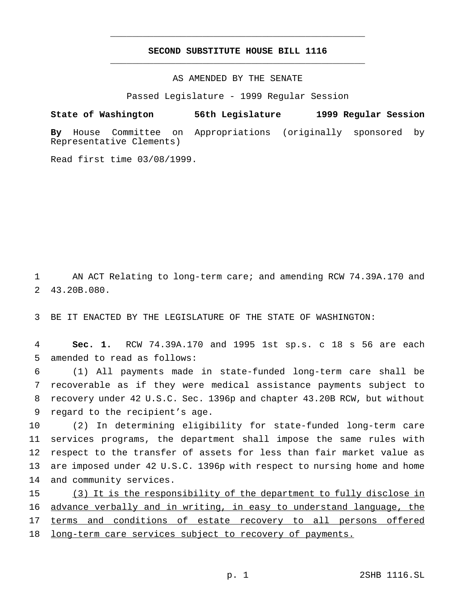## **SECOND SUBSTITUTE HOUSE BILL 1116** \_\_\_\_\_\_\_\_\_\_\_\_\_\_\_\_\_\_\_\_\_\_\_\_\_\_\_\_\_\_\_\_\_\_\_\_\_\_\_\_\_\_\_\_\_\_\_

\_\_\_\_\_\_\_\_\_\_\_\_\_\_\_\_\_\_\_\_\_\_\_\_\_\_\_\_\_\_\_\_\_\_\_\_\_\_\_\_\_\_\_\_\_\_\_

AS AMENDED BY THE SENATE

Passed Legislature - 1999 Regular Session

**State of Washington 56th Legislature 1999 Regular Session**

**By** House Committee on Appropriations (originally sponsored by Representative Clements)

Read first time 03/08/1999.

1 AN ACT Relating to long-term care; and amending RCW 74.39A.170 and 2 43.20B.080.

3 BE IT ENACTED BY THE LEGISLATURE OF THE STATE OF WASHINGTON:

4 **Sec. 1.** RCW 74.39A.170 and 1995 1st sp.s. c 18 s 56 are each 5 amended to read as follows:

 (1) All payments made in state-funded long-term care shall be recoverable as if they were medical assistance payments subject to recovery under 42 U.S.C. Sec. 1396p and chapter 43.20B RCW, but without regard to the recipient's age.

 (2) In determining eligibility for state-funded long-term care services programs, the department shall impose the same rules with respect to the transfer of assets for less than fair market value as are imposed under 42 U.S.C. 1396p with respect to nursing home and home and community services.

15 (3) It is the responsibility of the department to fully disclose in 16 advance verbally and in writing, in easy to understand language, the 17 terms and conditions of estate recovery to all persons offered 18 long-term care services subject to recovery of payments.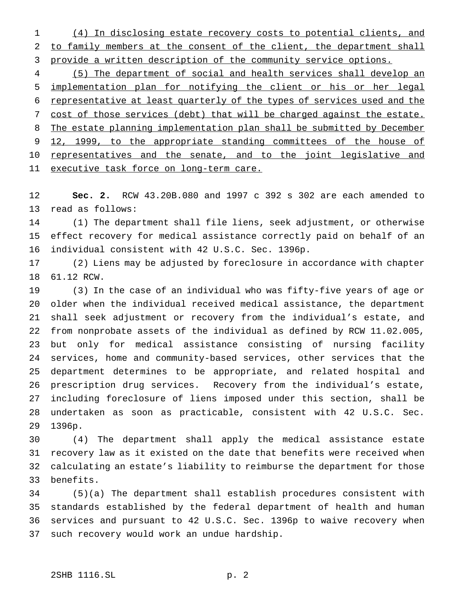(4) In disclosing estate recovery costs to potential clients, and to family members at the consent of the client, the department shall provide a written description of the community service options.

 (5) The department of social and health services shall develop an implementation plan for notifying the client or his or her legal representative at least quarterly of the types of services used and the cost of those services (debt) that will be charged against the estate. The estate planning implementation plan shall be submitted by December 9 12, 1999, to the appropriate standing committees of the house of 10 representatives and the senate, and to the joint legislative and 11 executive task force on long-term care.

 **Sec. 2.** RCW 43.20B.080 and 1997 c 392 s 302 are each amended to read as follows:

 (1) The department shall file liens, seek adjustment, or otherwise effect recovery for medical assistance correctly paid on behalf of an individual consistent with 42 U.S.C. Sec. 1396p.

 (2) Liens may be adjusted by foreclosure in accordance with chapter 61.12 RCW.

 (3) In the case of an individual who was fifty-five years of age or older when the individual received medical assistance, the department shall seek adjustment or recovery from the individual's estate, and from nonprobate assets of the individual as defined by RCW 11.02.005, but only for medical assistance consisting of nursing facility services, home and community-based services, other services that the department determines to be appropriate, and related hospital and prescription drug services. Recovery from the individual's estate, including foreclosure of liens imposed under this section, shall be undertaken as soon as practicable, consistent with 42 U.S.C. Sec. 1396p.

 (4) The department shall apply the medical assistance estate recovery law as it existed on the date that benefits were received when calculating an estate's liability to reimburse the department for those benefits.

 (5)(a) The department shall establish procedures consistent with standards established by the federal department of health and human services and pursuant to 42 U.S.C. Sec. 1396p to waive recovery when such recovery would work an undue hardship.

## 2SHB 1116.SL p. 2